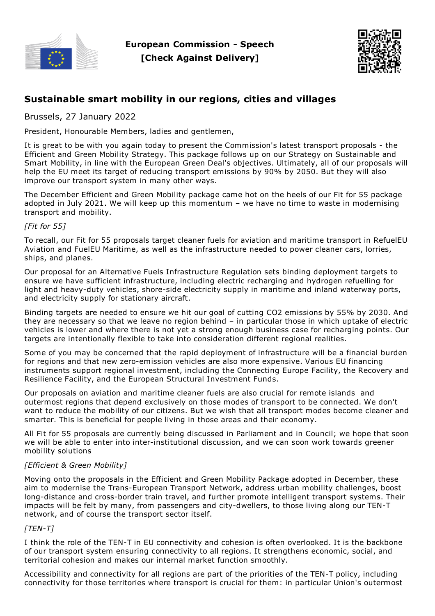

**European Commission - Speech [Check Against Delivery]**



# **Sustainable smart mobility in our regions, cities and villages**

Brussels, 27 January 2022

President, Honourable Members, ladies and gentlemen,

It is great to be with you again today to present the Commission's latest transport proposals - the Efficient and Green Mobility Strategy. This package follows up on our Strategy on Sustainable and Smart Mobility, in line with the European Green Deal's objectives. Ultimately, all of our proposals will help the EU meet its target of reducing transport emissions by 90% by 2050. But they will also improve our transport system in many other ways.

The December Efficient and Green Mobility package came hot on the heels of our Fit for 55 package adopted in July 2021. We will keep up this momentum – we have no time to waste in modernising transport and mobility.

## *[Fit for 55]*

To recall, our Fit for 55 proposals target cleaner fuels for aviation and maritime transport in RefuelEU Aviation and FuelEU Maritime, as well as the infrastructure needed to power cleaner cars, lorries, ships, and planes.

Our proposal for an Alternative Fuels Infrastructure Regulation sets binding deployment targets to ensure we have sufficient infrastructure, including electric recharging and hydrogen refuelling for light and heavy-duty vehicles, shore-side electricity supply in maritime and inland waterway ports, and electricity supply for stationary aircraft.

Binding targets are needed to ensure we hit our goal of cutting CO2 emissions by 55% by 2030. And they are necessary so that we leave no region behind – in particular those in which uptake of electric vehicles is lower and where there is not yet a strong enough business case for recharging points. Our targets are intentionally flexible to take into consideration different regional realities.

Some of you may be concerned that the rapid deployment of infrastructure will be a financial burden for regions and that new zero-emission vehicles are also more expensive. Various EU financing instruments support regional investment, including the Connecting Europe Facility, the Recovery and Resilience Facility, and the European Structural Investment Funds.

Our proposals on aviation and maritime cleaner fuels are also crucial for remote islands and outermost regions that depend exclusively on those modes of transport to be connected. We don't want to reduce the mobility of our citizens. But we wish that all transport modes become cleaner and smarter. This is beneficial for people living in those areas and their economy.

All Fit for 55 proposals are currently being discussed in Parliament and in Council; we hope that soon we will be able to enter into inter-institutional discussion, and we can soon work towards greener mobility solutions

# *[Efficient & Green Mobility]*

Moving onto the proposals in the Efficient and Green Mobility Package adopted in December, these aim to modernise the Trans-European Transport Network, address urban mobility challenges, boost long-distance and cross-border train travel, and further promote intelligent transport systems. Their impacts will be felt by many, from passengers and city-dwellers, to those living along our TEN-T network, and of course the transport sector itself.

#### *[TEN-T]*

I think the role of the TEN-T in EU connectivity and cohesion is often overlooked. It is the backbone of our transport system ensuring connectivity to all regions. It strengthens economic, social, and territorial cohesion and makes our internal market function smoothly.

Accessibility and connectivity for all regions are part of the priorities of the TEN-T policy, including connectivity for those territories where transport is crucial for them: in particular Union's outermost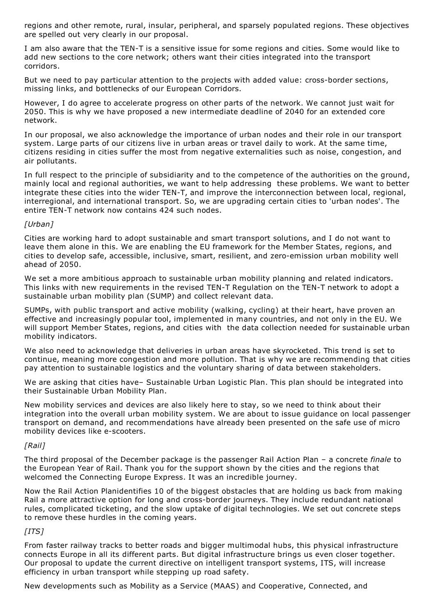regions and other remote, rural, insular, peripheral, and sparsely populated regions. These objectives are spelled out very clearly in our proposal.

I am also aware that the TEN-T is a sensitive issue for some regions and cities. Some would like to add new sections to the core network; others want their cities integrated into the transport corridors.

But we need to pay particular attention to the projects with added value: cross-border sections, missing links, and bottlenecks of our European Corridors.

However, I do agree to accelerate progress on other parts of the network. We cannot just wait for 2050. This is why we have proposed a new intermediate deadline of 2040 for an extended core network.

In our proposal, we also acknowledge the importance of urban nodes and their role in our transport system. Large parts of our citizens live in urban areas or travel daily to work. At the same time, citizens residing in cities suffer the most from negative externalities such as noise, congestion, and air pollutants.

In full respect to the principle of subsidiarity and to the competence of the authorities on the ground, mainly local and regional authorities, we want to help addressing these problems. We want to better integrate these cities into the wider TEN-T, and improve the interconnection between local, regional, interregional, and international transport. So, we are upgrading certain cities to 'urban nodes'. The entire TEN-T network now contains 424 such nodes.

## *[Urban]*

Cities are working hard to adopt sustainable and smart transport solutions, and I do not want to leave them alone in this. We are enabling the EU framework for the Member States, regions, and cities to develop safe, accessible, inclusive, smart, resilient, and zero-emission urban mobility well ahead of 2050.

We set a more ambitious approach to sustainable urban mobility planning and related indicators. This links with new requirements in the revised TEN-T Regulation on the TEN-T network to adopt a sustainable urban mobility plan (SUMP) and collect relevant data.

SUMPs, with public transport and active mobility (walking, cycling) at their heart, have proven an effective and increasingly popular tool, implemented in many countries, and not only in the EU. We will support Member States, regions, and cities with the data collection needed for sustainable urban mobility indicators.

We also need to acknowledge that deliveries in urban areas have skyrocketed. This trend is set to continue, meaning more congestion and more pollution. That is why we are recommending that cities pay attention to sustainable logistics and the voluntary sharing of data between stakeholders.

We are asking that cities have– Sustainable Urban Logistic Plan. This plan should be integrated into their Sustainable Urban Mobility Plan.

New mobility services and devices are also likely here to stay, so we need to think about their integration into the overall urban mobility system. We are about to issue guidance on local passenger transport on demand, and recommendations have already been presented on the safe use of micro mobility devices like e-scooters.

# *[Rail]*

The third proposal of the December package is the passenger Rail Action Plan – a concrete *finale* to the European Year of Rail. Thank you for the support shown by the cities and the regions that welcomed the Connecting Europe Express. It was an incredible journey.

Now the Rail Action Planidentifies 10 of the biggest obstacles that are holding us back from making Rail a more attractive option for long and cross-border journeys. They include redundant national rules, complicated ticketing, and the slow uptake of digital technologies. We set out concrete steps to remove these hurdles in the coming years.

# *[ITS]*

From faster railway tracks to better roads and bigger multimodal hubs, this physical infrastructure connects Europe in all its different parts. But digital infrastructure brings us even closer together. Our proposal to update the current directive on intelligent transport systems, ITS, will increase efficiency in urban transport while stepping up road safety.

New developments such as Mobility as a Service (MAAS) and Cooperative, Connected, and